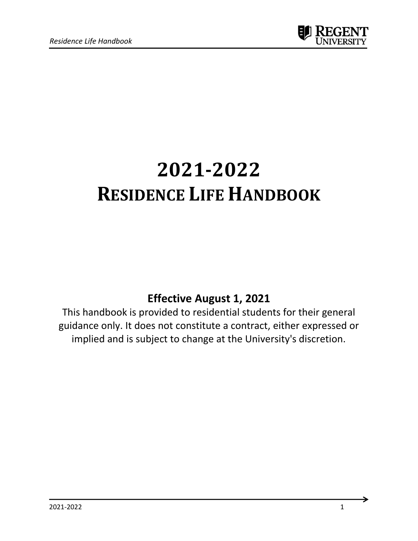

# **2021-2022 RESIDENCE LIFE HANDBOOK**

# **Effective August 1, 2021**

This handbook is provided to residential students for their general guidance only. It does not constitute a contract, either expressed or implied and is subject to change at the University's discretion.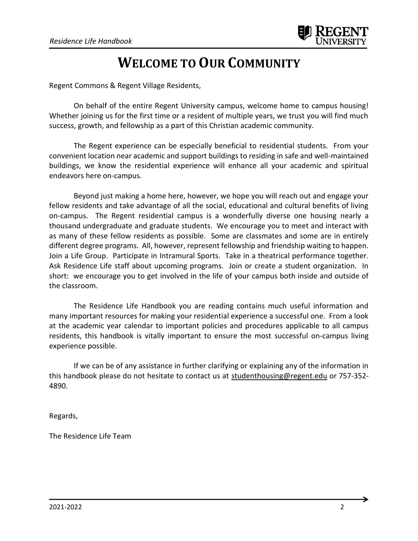# **WELCOME TO OUR COMMUNITY**

Regent Commons & Regent Village Residents,

On behalf of the entire Regent University campus, welcome home to campus housing! Whether joining us for the first time or a resident of multiple years, we trust you will find much success, growth, and fellowship as a part of this Christian academic community.

The Regent experience can be especially beneficial to residential students. From your convenient location near academic and support buildings to residing in safe and well-maintained buildings, we know the residential experience will enhance all your academic and spiritual endeavors here on-campus.

Beyond just making a home here, however, we hope you will reach out and engage your fellow residents and take advantage of all the social, educational and cultural benefits of living on-campus. The Regent residential campus is a wonderfully diverse one housing nearly a thousand undergraduate and graduate students. We encourage you to meet and interact with as many of these fellow residents as possible. Some are classmates and some are in entirely different degree programs. All, however, represent fellowship and friendship waiting to happen. Join a Life Group. Participate in Intramural Sports. Take in a theatrical performance together. Ask Residence Life staff about upcoming programs. Join or create a student organization. In short: we encourage you to get involved in the life of your campus both inside and outside of the classroom.

The Residence Life Handbook you are reading contains much useful information and many important resources for making your residential experience a successful one. From a look at the academic year calendar to important policies and procedures applicable to all campus residents, this handbook is vitally important to ensure the most successful on-campus living experience possible.

If we can be of any assistance in further clarifying or explaining any of the information in this handbook please do not hesitate to contact us at [studenthousing@regent.edu](mailto:studenthousing@regent.edu) or 757-352- 4890.

Regards,

The Residence Life Team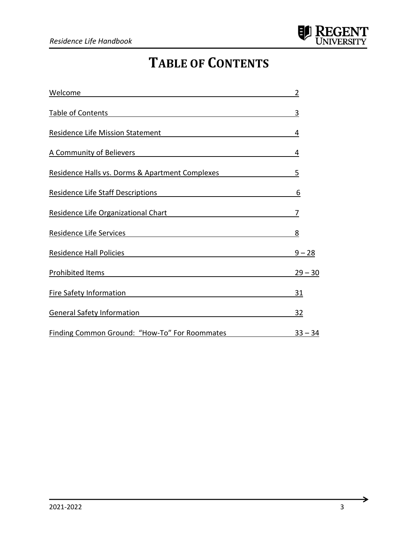# **TABLE OF CONTENTS**

| Welcome                                                 | $\overline{2}$ |
|---------------------------------------------------------|----------------|
| <b>Table of Contents</b>                                | 3              |
| Residence Life Mission Statement                        | 4              |
| A Community of Believers And The Community of Believers | 4              |
| Residence Halls vs. Dorms & Apartment Complexes         | 5              |
| <u>Residence Life Staff Descriptions</u>                | 6              |
| Residence Life Organizational Chart National Chart      | 7              |
| Residence Life Services <b>Example 2014</b>             | 8              |
| Residence Hall Policies                                 | $9 - 28$       |
|                                                         | $29 - 30$      |
| <b>Fire Safety Information</b>                          | <u>31</u>      |
| <b>General Safety Information</b>                       | <u>32</u>      |
| Finding Common Ground: "How-To" For Roommates           | $33 - 34$      |

→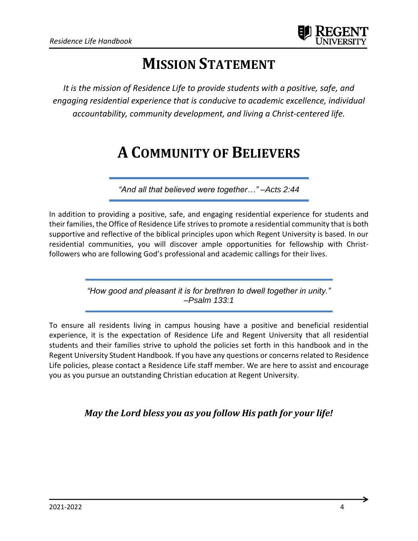

# **MISSION STATEMENT**

*It is the mission of Residence Life to provide students with a positive, safe, and engaging residential experience that is conducive to academic excellence, individual accountability, community development, and living a Christ-centered life.*

# **A COMMUNITY OF BELIEVERS**

*"And all that believed were together…" –Acts 2:44*

In addition to providing a positive, safe, and engaging residential experience for students and their families, the Office of Residence Life strives to promote a residential community that is both supportive and reflective of the biblical principles upon which Regent University is based. In our residential communities, you will discover ample opportunities for fellowship with Christfollowers who are following God's professional and academic callings for their lives.

> *"How good and pleasant it is for brethren to dwell together in unity." –Psalm 133:1*

To ensure all residents living in campus housing have a positive and beneficial residential experience, it is the expectation of Residence Life and Regent University that all residential students and their families strive to uphold the policies set forth in this handbook and in the Regent University Student Handbook. If you have any questions or concerns related to Residence Life policies, please contact a Residence Life staff member. We are here to assist and encourage you as you pursue an outstanding Christian education at Regent University.

*May the Lord bless you as you follow His path for your life!*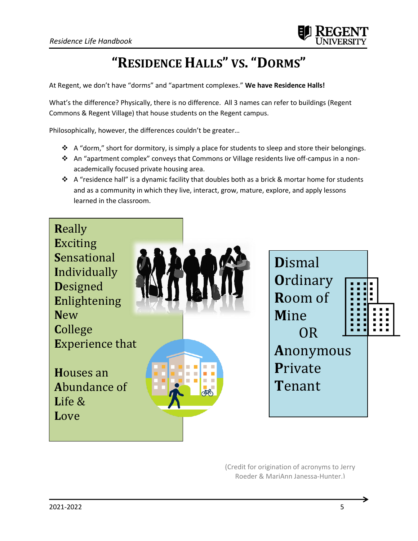

# **"RESIDENCE HALLS" VS."DORMS"**

At Regent, we don't have "dorms" and "apartment complexes." **We have Residence Halls!**

What's the difference? Physically, there is no difference. All 3 names can refer to buildings (Regent Commons & Regent Village) that house students on the Regent campus.

Philosophically, however, the differences couldn't be greater…

- ❖ A "dorm," short for dormitory, is simply a place for students to sleep and store their belongings.
- ❖ An "apartment complex" conveys that Commons or Village residents live off-campus in a nonacademically focused private housing area.
- ↑ A "residence hall" is a dynamic facility that doubles both as a brick & mortar home for students and as a community in which they live, interact, grow, mature, explore, and apply lessons learned in the classroom.



(Credit for origination of acronyms to Jerry Roeder & MariAnn Janessa-Hunter.)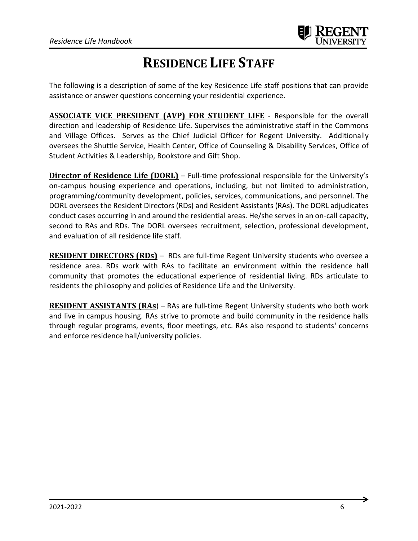

# **RESIDENCE LIFE STAFF**

The following is a description of some of the key Residence Life staff positions that can provide assistance or answer questions concerning your residential experience.

**ASSOCIATE VICE PRESIDENT (AVP) FOR STUDENT LIFE** - Responsible for the overall direction and leadership of Residence Life. Supervises the administrative staff in the Commons and Village Offices. Serves as the Chief Judicial Officer for Regent University. Additionally oversees the Shuttle Service, Health Center, Office of Counseling & Disability Services, Office of Student Activities & Leadership, Bookstore and Gift Shop.

**Director of Residence Life (DORL)** – Full-time professional responsible for the University's on-campus housing experience and operations, including, but not limited to administration, programming/community development, policies, services, communications, and personnel. The DORL oversees the Resident Directors (RDs) and Resident Assistants (RAs). The DORL adjudicates conduct cases occurring in and around the residential areas. He/she serves in an on-call capacity, second to RAs and RDs. The DORL oversees recruitment, selection, professional development, and evaluation of all residence life staff.

**RESIDENT DIRECTORS (RDs)** - RDs are full-time Regent University students who oversee a residence area. RDs work with RAs to facilitate an environment within the residence hall community that promotes the educational experience of residential living. RDs articulate to residents the philosophy and policies of Residence Life and the University.

**RESIDENT ASSISTANTS (RAs**) – RAs are full-time Regent University students who both work and live in campus housing. RAs strive to promote and build community in the residence halls through regular programs, events, floor meetings, etc. RAs also respond to students' concerns and enforce residence hall/university policies.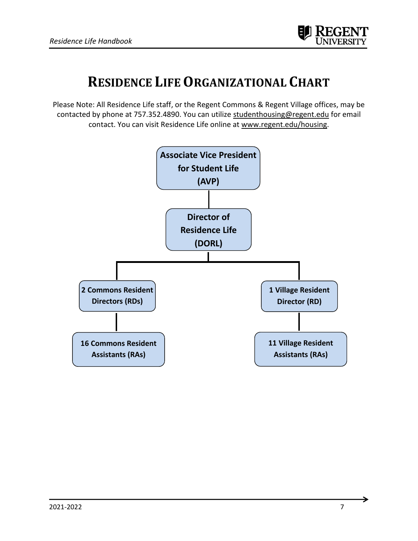

# **RESIDENCE LIFE ORGANIZATIONAL CHART**

Please Note: All Residence Life staff, or the Regent Commons & Regent Village offices, may be contacted by phone at 757.352.4890. You can utilize [studenthousing@regent.edu](mailto:studenthousing@regent.edu) for email contact. You can visit Residence Life online at [www.regent.edu/housing.](http://www.regent.edu/housing)

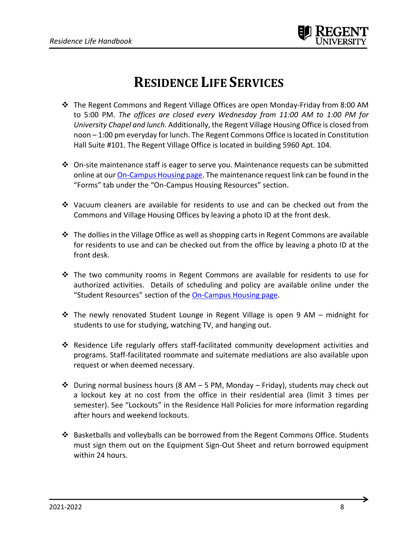

# **RESIDENCE LIFE SERVICES**

- ❖ The Regent Commons and Regent Village Offices are open Monday-Friday from 8:00 AM to 5:00 PM. *The offices are closed every Wednesday from 11:00 AM to 1:00 PM for University Chapel and lunch.* Additionally, the Regent Village Housing Office is closed from noon – 1:00 pm everyday for lunch. The Regent Commons Office is located in Constitution Hall Suite #101. The Regent Village Office is located in building 5960 Apt. 104.
- ❖ On-site maintenance staff is eager to serve you. Maintenance requests can be submitted online at our **On-Campus Housing page**. The maintenance request link can be found in the "Forms" tab under the "On-Campus Housing Resources" section.
- ❖ Vacuum cleaners are available for residents to use and can be checked out from the Commons and Village Housing Offices by leaving a photo ID at the front desk.
- ❖ The dolliesin the Village Office as well as shopping carts in Regent Commons are available for residents to use and can be checked out from the office by leaving a photo ID at the front desk.
- ❖ The two community rooms in Regent Commons are available for residents to use for authorized activities. Details of scheduling and policy are available online under the "Student Resources" section of the [On-Campus Housing page.](https://www.regent.edu/community-spiritual-life/student-life/#tab-on-campus-housing)
- ❖ The newly renovated Student Lounge in Regent Village is open 9 AM midnight for students to use for studying, watching TV, and hanging out.
- ❖ Residence Life regularly offers staff-facilitated community development activities and programs. Staff-facilitated roommate and suitemate mediations are also available upon request or when deemed necessary.
- ❖ During normal business hours (8 AM 5 PM, Monday Friday), students may check out a lockout key at no cost from the office in their residential area (limit 3 times per semester). See "Lockouts" in the Residence Hall Policies for more information regarding after hours and weekend lockouts.
- ❖ Basketballs and volleyballs can be borrowed from the Regent Commons Office. Students must sign them out on the Equipment Sign-Out Sheet and return borrowed equipment within 24 hours.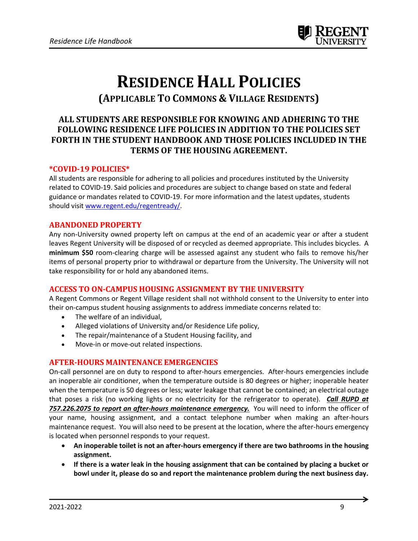

# **RESIDENCE HALL POLICIES (APPLICABLE TO COMMONS & VILLAGE RESIDENTS)**

# **ALL STUDENTS ARE RESPONSIBLE FOR KNOWING AND ADHERING TO THE FOLLOWING RESIDENCE LIFE POLICIES IN ADDITION TO THE POLICIES SET FORTH IN THE STUDENT HANDBOOK AND THOSE POLICIES INCLUDED IN THE TERMS OF THE HOUSING AGREEMENT.**

#### **\*COVID-19 POLICIES\***

All students are responsible for adhering to all policies and procedures instituted by the University related to COVID-19. Said policies and procedures are subject to change based on state and federal guidance or mandates related to COVID-19. For more information and the latest updates, students should visit [www.regent.edu/regentready/.](http://www.regent.edu/regentready/)

#### **ABANDONED PROPERTY**

Any non-University owned property left on campus at the end of an academic year or after a student leaves Regent University will be disposed of or recycled as deemed appropriate. This includes bicycles. A **minimum \$50** room-clearing charge will be assessed against any student who fails to remove his/her items of personal property prior to withdrawal or departure from the University. The University will not take responsibility for or hold any abandoned items.

#### **ACCESS TO ON-CAMPUS HOUSING ASSIGNMENT BY THE UNIVERSITY**

A Regent Commons or Regent Village resident shall not withhold consent to the University to enter into their on-campus student housing assignments to address immediate concerns related to:

- The welfare of an individual,
- Alleged violations of University and/or Residence Life policy,
- The repair/maintenance of a Student Housing facility, and
- Move-in or move-out related inspections.

# **AFTER-HOURS MAINTENANCE EMERGENCIES**

On-call personnel are on duty to respond to after-hours emergencies. After-hours emergencies include an inoperable air conditioner, when the temperature outside is 80 degrees or higher; inoperable heater when the temperature is 50 degrees or less; water leakage that cannot be contained; an electrical outage that poses a risk (no working lights or no electricity for the refrigerator to operate). *Call RUPD at 757.226.2075 to report an after-hours maintenance emergency.* You will need to inform the officer of your name, housing assignment, and a contact telephone number when making an after-hours maintenance request. You will also need to be present at the location, where the after-hours emergency is located when personnel responds to your request.

- **An inoperable toilet is not an after-hours emergency if there are two bathrooms in the housing assignment.**
- **If there is a water leak in the housing assignment that can be contained by placing a bucket or bowl under it, please do so and report the maintenance problem during the next business day.**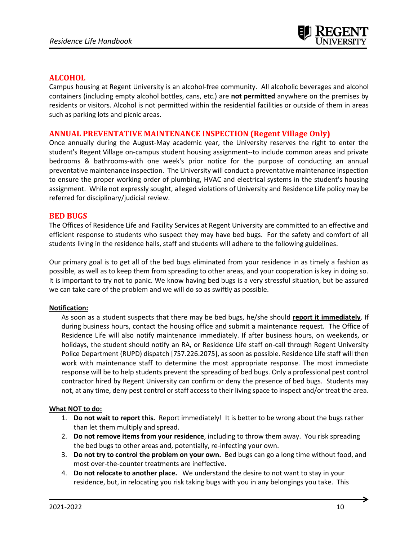

# **ALCOHOL**

Campus housing at Regent University is an alcohol-free community. All alcoholic beverages and alcohol containers (including empty alcohol bottles, cans, etc.) are **not permitted** anywhere on the premises by residents or visitors. Alcohol is not permitted within the residential facilities or outside of them in areas such as parking lots and picnic areas.

# **ANNUAL PREVENTATIVE MAINTENANCE INSPECTION (Regent Village Only)**

Once annually during the August-May academic year, the University reserves the right to enter the student's Regent Village on-campus student housing assignment--to include common areas and private bedrooms & bathrooms-with one week's prior notice for the purpose of conducting an annual preventative maintenance inspection. The University will conduct a preventative maintenance inspection to ensure the proper working order of plumbing, HVAC and electrical systems in the student's housing assignment. While not expressly sought, alleged violations of University and Residence Life policy may be referred for disciplinary/judicial review.

# **BED BUGS**

The Offices of Residence Life and Facility Services at Regent University are committed to an effective and efficient response to students who suspect they may have bed bugs. For the safety and comfort of all students living in the residence halls, staff and students will adhere to the following guidelines.

Our primary goal is to get all of the bed bugs eliminated from your residence in as timely a fashion as possible, as well as to keep them from spreading to other areas, and your cooperation is key in doing so. It is important to try not to panic. We know having bed bugs is a very stressful situation, but be assured we can take care of the problem and we will do so as swiftly as possible.

#### **Notification:**

As soon as a student suspects that there may be bed bugs, he/she should **report it immediately**. If during business hours, contact the housing office and submit a maintenance request. The Office of Residence Life will also notify maintenance immediately. If after business hours, on weekends, or holidays, the student should notify an RA, or Residence Life staff on-call through Regent University Police Department (RUPD) dispatch [757.226.2075], as soon as possible. Residence Life staff will then work with maintenance staff to determine the most appropriate response. The most immediate response will be to help students prevent the spreading of bed bugs. Only a professional pest control contractor hired by Regent University can confirm or deny the presence of bed bugs. Students may not, at any time, deny pest control or staff access to their living space to inspect and/or treat the area.

#### **What NOT to do:**

- 1. **Do not wait to report this.** Report immediately! It is better to be wrong about the bugs rather than let them multiply and spread.
- 2. **Do not remove items from your residence**, including to throw them away. You risk spreading the bed bugs to other areas and, potentially, re-infecting your own.
- 3. **Do not try to control the problem on your own.** Bed bugs can go a long time without food, and most over-the-counter treatments are ineffective.
- 4. **Do not relocate to another place.** We understand the desire to not want to stay in your residence, but, in relocating you risk taking bugs with you in any belongings you take. This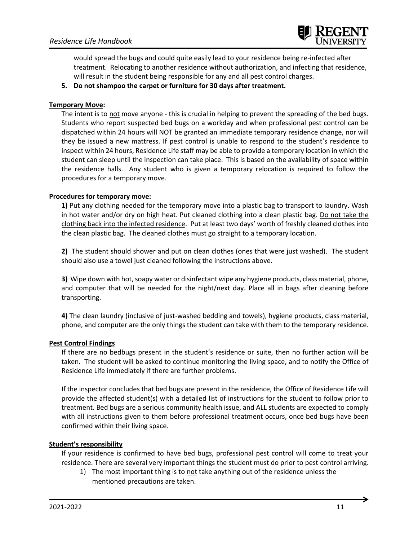

would spread the bugs and could quite easily lead to your residence being re-infected after treatment. Relocating to another residence without authorization, and infecting that residence, will result in the student being responsible for any and all pest control charges.

**5. Do not shampoo the carpet or furniture for 30 days after treatment.**

#### **Temporary Move:**

The intent is to not move anyone - this is crucial in helping to prevent the spreading of the bed bugs. Students who report suspected bed bugs on a workday and when professional pest control can be dispatched within 24 hours will NOT be granted an immediate temporary residence change, nor will they be issued a new mattress. If pest control is unable to respond to the student's residence to inspect within 24 hours, Residence Life staff may be able to provide a temporary location in which the student can sleep until the inspection can take place. This is based on the availability of space within the residence halls. Any student who is given a temporary relocation is required to follow the procedures for a temporary move.

#### **Procedures for temporary move:**

**1)** Put any clothing needed for the temporary move into a plastic bag to transport to laundry. Wash in hot water and/or dry on high heat. Put cleaned clothing into a clean plastic bag. Do not take the clothing back into the infected residence. Put at least two days' worth of freshly cleaned clothes into the clean plastic bag. The cleaned clothes must go straight to a temporary location.

**2)** The student should shower and put on clean clothes (ones that were just washed). The student should also use a towel just cleaned following the instructions above.

**3)** Wipe down with hot, soapy water or disinfectant wipe any hygiene products, class material, phone, and computer that will be needed for the night/next day. Place all in bags after cleaning before transporting.

**4)** The clean laundry (inclusive of just-washed bedding and towels), hygiene products, class material, phone, and computer are the only things the student can take with them to the temporary residence.

# **Pest Control Findings**

If there are no bedbugs present in the student's residence or suite, then no further action will be taken. The student will be asked to continue monitoring the living space, and to notify the Office of Residence Life immediately if there are further problems.

If the inspector concludes that bed bugs are present in the residence, the Office of Residence Life will provide the affected student(s) with a detailed list of instructions for the student to follow prior to treatment. Bed bugs are a serious community health issue, and ALL students are expected to comply with all instructions given to them before professional treatment occurs, once bed bugs have been confirmed within their living space.

#### **Student's responsibility**

If your residence is confirmed to have bed bugs, professional pest control will come to treat your residence. There are several very important things the student must do prior to pest control arriving.

1) The most important thing is to not take anything out of the residence unless the mentioned precautions are taken.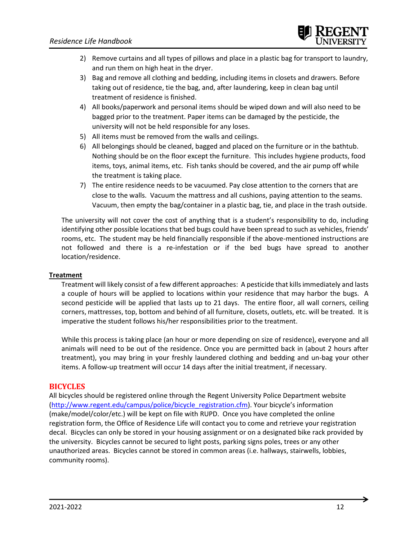- 2) Remove curtains and all types of pillows and place in a plastic bag for transport to laundry, and run them on high heat in the dryer.
- 3) Bag and remove all clothing and bedding, including items in closets and drawers. Before taking out of residence, tie the bag, and, after laundering, keep in clean bag until treatment of residence is finished.
- 4) All books/paperwork and personal items should be wiped down and will also need to be bagged prior to the treatment. Paper items can be damaged by the pesticide, the university will not be held responsible for any loses.
- 5) All items must be removed from the walls and ceilings.
- 6) All belongings should be cleaned, bagged and placed on the furniture or in the bathtub. Nothing should be on the floor except the furniture. This includes hygiene products, food items, toys, animal items, etc. Fish tanks should be covered, and the air pump off while the treatment is taking place.
- 7) The entire residence needs to be vacuumed. Pay close attention to the corners that are close to the walls. Vacuum the mattress and all cushions, paying attention to the seams. Vacuum, then empty the bag/container in a plastic bag, tie, and place in the trash outside.

The university will not cover the cost of anything that is a student's responsibility to do, including identifying other possible locations that bed bugs could have been spread to such as vehicles, friends' rooms, etc. The student may be held financially responsible if the above-mentioned instructions are not followed and there is a re-infestation or if the bed bugs have spread to another location/residence.

# **Treatment**

Treatment will likely consist of a few different approaches: A pesticide that kills immediately and lasts a couple of hours will be applied to locations within your residence that may harbor the bugs. A second pesticide will be applied that lasts up to 21 days. The entire floor, all wall corners, ceiling corners, mattresses, top, bottom and behind of all furniture, closets, outlets, etc. will be treated. It is imperative the student follows his/her responsibilities prior to the treatment.

While this process is taking place (an hour or more depending on size of residence), everyone and all animals will need to be out of the residence. Once you are permitted back in (about 2 hours after treatment), you may bring in your freshly laundered clothing and bedding and un-bag your other items. A follow-up treatment will occur 14 days after the initial treatment, if necessary.

# **BICYCLES**

All bicycles should be registered online through the Regent University Police Department website [\(http://www.regent.edu/campus/police/bicycle\\_registration.cfm\)](http://www.regent.edu/campus/police/bicycle_registration.cfm). Your bicycle's information (make/model/color/etc.) will be kept on file with RUPD. Once you have completed the online registration form, the Office of Residence Life will contact you to come and retrieve your registration decal. Bicycles can only be stored in your housing assignment or on a designated bike rack provided by the university. Bicycles cannot be secured to light posts, parking signs poles, trees or any other unauthorized areas. Bicycles cannot be stored in common areas (i.e. hallways, stairwells, lobbies, community rooms).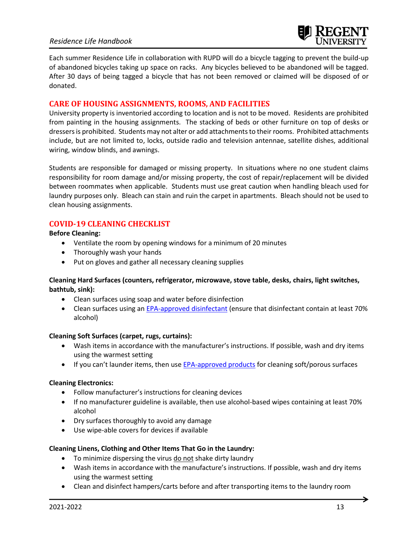# *Residence Life Handbook*

Each summer Residence Life in collaboration with RUPD will do a bicycle tagging to prevent the build-up of abandoned bicycles taking up space on racks. Any bicycles believed to be abandoned will be tagged. After 30 days of being tagged a bicycle that has not been removed or claimed will be disposed of or donated.

# **CARE OF HOUSING ASSIGNMENTS, ROOMS, AND FACILITIES**

University property is inventoried according to location and is not to be moved. Residents are prohibited from painting in the housing assignments. The stacking of beds or other furniture on top of desks or dressers is prohibited. Students may not alter or add attachments to their rooms. Prohibited attachments include, but are not limited to, locks, outside radio and television antennae, satellite dishes, additional wiring, window blinds, and awnings.

Students are responsible for damaged or missing property. In situations where no one student claims responsibility for room damage and/or missing property, the cost of repair/replacement will be divided between roommates when applicable. Students must use great caution when handling bleach used for laundry purposes only. Bleach can stain and ruin the carpet in apartments. Bleach should not be used to clean housing assignments.

# **COVID-19 CLEANING CHECKLIST**

**Before Cleaning:** 

- Ventilate the room by opening windows for a minimum of 20 minutes
- Thoroughly wash your hands
- Put on gloves and gather all necessary cleaning supplies

#### **Cleaning Hard Surfaces (counters, refrigerator, microwave, stove table, desks, chairs, light switches, bathtub, sink):**

- Clean surfaces using soap and water before disinfection
- Clean surfaces using a[n EPA-approved disinfectant](https://www.epa.gov/pesticide-registration/list-n-disinfectants-use-against-sars-cov-2) (ensure that disinfectant contain at least 70% alcohol)

#### **Cleaning Soft Surfaces (carpet, rugs, curtains):**

- Wash items in accordance with the manufacturer's instructions. If possible, wash and dry items using the warmest setting
- If you can't launder items, then us[e EPA-approved products](https://www.epa.gov/pesticide-registration/list-n-disinfectants-use-against-sars-cov-2) for cleaning soft/porous surfaces

#### **Cleaning Electronics:**

- Follow manufacturer's instructions for cleaning devices
- If no manufacturer guideline is available, then use alcohol-based wipes containing at least 70% alcohol
- Dry surfaces thoroughly to avoid any damage
- Use wipe-able covers for devices if available

#### **Cleaning Linens, Clothing and Other Items That Go in the Laundry:**

- To minimize dispersing the virus do not shake dirty laundry
- Wash items in accordance with the manufacture's instructions. If possible, wash and dry items using the warmest setting
- Clean and disinfect hampers/carts before and after transporting items to the laundry room

→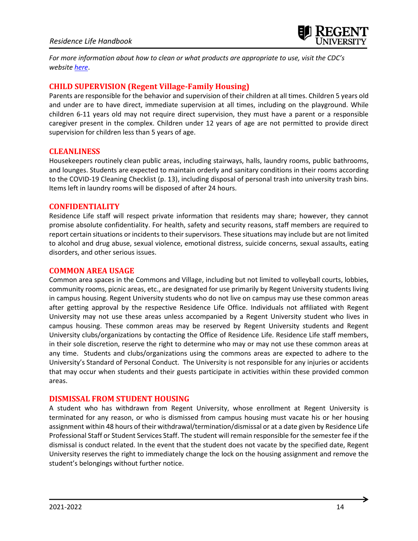

*For more information about how to clean or what products are appropriate to use, visit the CDC's website [here](https://www.cdc.gov/coronavirus/2019-ncov/community/clean-disinfect/index.html)*.

# **CHILD SUPERVISION (Regent Village-Family Housing)**

Parents are responsible for the behavior and supervision of their children at all times. Children 5 years old and under are to have direct, immediate supervision at all times, including on the playground. While children 6-11 years old may not require direct supervision, they must have a parent or a responsible caregiver present in the complex. Children under 12 years of age are not permitted to provide direct supervision for children less than 5 years of age.

#### **CLEANLINESS**

Housekeepers routinely clean public areas, including stairways, halls, laundry rooms, public bathrooms, and lounges. Students are expected to maintain orderly and sanitary conditions in their rooms according to the COVID-19 Cleaning Checklist (p. 13), including disposal of personal trash into university trash bins. Items left in laundry rooms will be disposed of after 24 hours.

#### **CONFIDENTIALITY**

Residence Life staff will respect private information that residents may share; however, they cannot promise absolute confidentiality. For health, safety and security reasons, staff members are required to report certain situations or incidents to their supervisors. These situations may include but are not limited to alcohol and drug abuse, sexual violence, emotional distress, suicide concerns, sexual assaults, eating disorders, and other serious issues.

#### **COMMON AREA USAGE**

Common area spaces in the Commons and Village, including but not limited to volleyball courts, lobbies, community rooms, picnic areas, etc., are designated for use primarily by Regent University students living in campus housing. Regent University students who do not live on campus may use these common areas after getting approval by the respective Residence Life Office. Individuals not affiliated with Regent University may not use these areas unless accompanied by a Regent University student who lives in campus housing. These common areas may be reserved by Regent University students and Regent University clubs/organizations by contacting the Office of Residence Life. Residence Life staff members, in their sole discretion, reserve the right to determine who may or may not use these common areas at any time. Students and clubs/organizations using the commons areas are expected to adhere to the University's Standard of Personal Conduct. The University is not responsible for any injuries or accidents that may occur when students and their guests participate in activities within these provided common areas.

# **DISMISSAL FROM STUDENT HOUSING**

A student who has withdrawn from Regent University, whose enrollment at Regent University is terminated for any reason, or who is dismissed from campus housing must vacate his or her housing assignment within 48 hours of their withdrawal/termination/dismissal or at a date given by Residence Life Professional Staff or Student Services Staff. The student will remain responsible for the semester fee if the dismissal is conduct related. In the event that the student does not vacate by the specified date, Regent University reserves the right to immediately change the lock on the housing assignment and remove the student's belongings without further notice.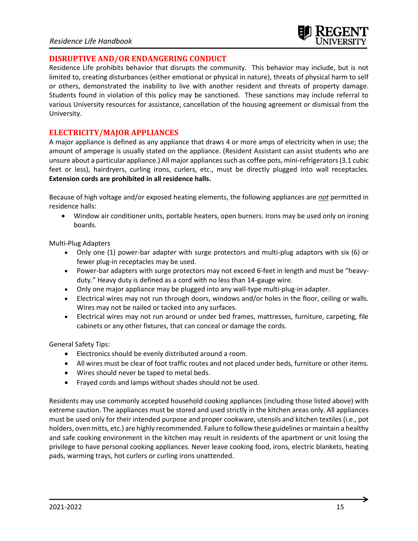# **DISRUPTIVE AND/OR ENDANGERING CONDUCT**

Residence Life prohibits behavior that disrupts the community. This behavior may include, but is not limited to, creating disturbances (either emotional or physical in nature), threats of physical harm to self or others, demonstrated the inability to live with another resident and threats of property damage. Students found in violation of this policy may be sanctioned. These sanctions may include referral to various University resources for assistance, cancellation of the housing agreement or dismissal from the University.

#### **ELECTRICITY/MAJOR APPLIANCES**

A major appliance is defined as any appliance that draws 4 or more amps of electricity when in use; the amount of amperage is usually stated on the appliance. (Resident Assistant can assist students who are unsure about a particular appliance.) All major appliances such as coffee pots, mini-refrigerators (3.1 cubic feet or less), hairdryers, curling irons, curlers, etc., must be directly plugged into wall receptacles. **Extension cords are prohibited in all residence halls.**

Because of high voltage and/or exposed heating elements, the following appliances are *not* permitted in residence halls:

• Window air conditioner units, portable heaters, open burners. Irons may be used only on ironing boards.

Multi-Plug Adapters

- Only one (1) power-bar adapter with surge protectors and multi-plug adaptors with six (6) or fewer plug-in receptacles may be used.
- Power-bar adapters with surge protectors may not exceed 6-feet in length and must be "heavyduty." Heavy duty is defined as a cord with no less than 14-gauge wire.
- Only one major appliance may be plugged into any wall-type multi-plug-in adapter.
- Electrical wires may not run through doors, windows and/or holes in the floor, ceiling or walls. Wires may not be nailed or tacked into any surfaces.
- Electrical wires may not run around or under bed frames, mattresses, furniture, carpeting, file cabinets or any other fixtures, that can conceal or damage the cords.

General Safety Tips:

- Electronics should be evenly distributed around a room.
- All wires must be clear of foot traffic routes and not placed under beds, furniture or other items.
- Wires should never be taped to metal beds.
- Frayed cords and lamps without shades should not be used.

Residents may use commonly accepted household cooking appliances (including those listed above) with extreme caution. The appliances must be stored and used strictly in the kitchen areas only. All appliances must be used only for their intended purpose and proper cookware, utensils and kitchen textiles (i.e., pot holders, oven mitts, etc.) are highly recommended. Failure to follow these guidelines or maintain a healthy and safe cooking environment in the kitchen may result in residents of the apartment or unit losing the privilege to have personal cooking appliances. Never leave cooking food, irons, electric blankets, heating pads, warming trays, hot curlers or curling irons unattended.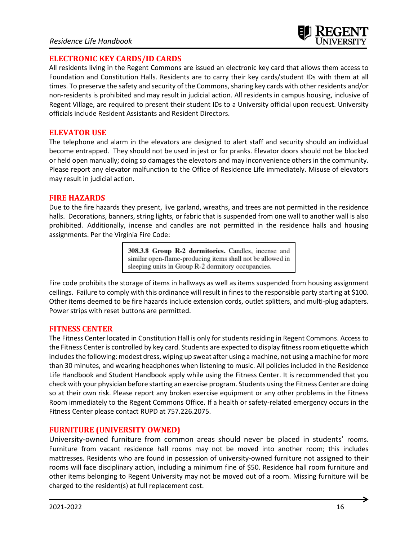# **ELECTRONIC KEY CARDS/ID CARDS**

All residents living in the Regent Commons are issued an electronic key card that allows them access to Foundation and Constitution Halls. Residents are to carry their key cards/student IDs with them at all times. To preserve the safety and security of the Commons, sharing key cards with other residents and/or non-residents is prohibited and may result in judicial action. All residents in campus housing, inclusive of Regent Village, are required to present their student IDs to a University official upon request. University officials include Resident Assistants and Resident Directors.

# **ELEVATOR USE**

The telephone and alarm in the elevators are designed to alert staff and security should an individual become entrapped. They should not be used in jest or for pranks. Elevator doors should not be blocked or held open manually; doing so damages the elevators and may inconvenience others in the community. Please report any elevator malfunction to the Office of Residence Life immediately. Misuse of elevators may result in judicial action.

# **FIRE HAZARDS**

Due to the fire hazards they present, live garland, wreaths, and trees are not permitted in the residence halls. Decorations, banners, string lights, or fabric that is suspended from one wall to another wall is also prohibited. Additionally, incense and candles are not permitted in the residence halls and housing assignments. Per the Virginia Fire Code:

> 308.3.8 Group R-2 dormitories. Candles, incense and similar open-flame-producing items shall not be allowed in sleeping units in Group R-2 dormitory occupancies.

Fire code prohibits the storage of items in hallways as well as items suspended from housing assignment ceilings. Failure to comply with this ordinance will result in fines to the responsible party starting at \$100. Other items deemed to be fire hazards include extension cords, outlet splitters, and multi-plug adapters. Power strips with reset buttons are permitted.

# **FITNESS CENTER**

The Fitness Center located in Constitution Hall is only for students residing in Regent Commons. Access to the Fitness Center is controlled by key card. Students are expected to display fitness room etiquette which includes the following: modest dress, wiping up sweat after using a machine, not using a machine for more than 30 minutes, and wearing headphones when listening to music. All policies included in the Residence Life Handbook and Student Handbook apply while using the Fitness Center. It is recommended that you check with your physician before starting an exercise program. Students using the Fitness Center are doing so at their own risk. Please report any broken exercise equipment or any other problems in the Fitness Room immediately to the Regent Commons Office. If a health or safety-related emergency occurs in the Fitness Center please contact RUPD at 757.226.2075.

# **FURNITURE (UNIVERSITY OWNED)**

University-owned furniture from common areas should never be placed in students' rooms. Furniture from vacant residence hall rooms may not be moved into another room; this includes mattresses. Residents who are found in possession of university-owned furniture not assigned to their rooms will face disciplinary action, including a minimum fine of \$50. Residence hall room furniture and other items belonging to Regent University may not be moved out of a room. Missing furniture will be charged to the resident(s) at full replacement cost.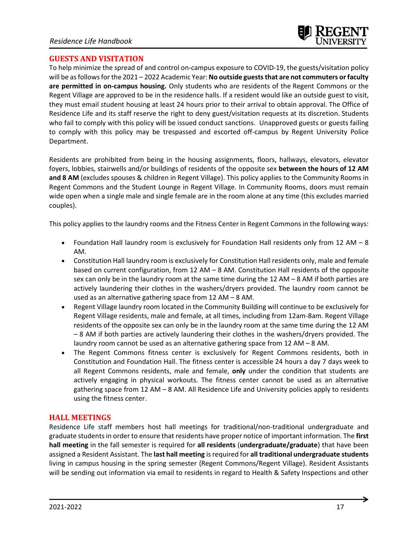# **GUESTS AND VISITATION**

To help minimize the spread of and control on-campus exposure to COVID-19, the guests/visitation policy will be asfollowsforthe 2021 – 2022 Academic Year: **No outside guests that are not commuters or faculty are permitted in on-campus housing.** Only students who are residents of the Regent Commons or the Regent Village are approved to be in the residence halls. If a resident would like an outside guest to visit, they must email student housing at least 24 hours prior to their arrival to obtain approval. The Office of Residence Life and its staff reserve the right to deny guest/visitation requests at its discretion. Students who fail to comply with this policy will be issued conduct sanctions. Unapproved guests or guests failing to comply with this policy may be trespassed and escorted off-campus by Regent University Police Department.

Residents are prohibited from being in the housing assignments, floors, hallways, elevators, elevator foyers, lobbies, stairwells and/or buildings of residents of the opposite sex **between the hours of 12 AM and 8 AM** (excludes spouses & children in Regent Village). This policy applies to the Community Rooms in Regent Commons and the Student Lounge in Regent Village. In Community Rooms, doors must remain wide open when a single male and single female are in the room alone at any time (this excludes married couples).

This policy applies to the laundry rooms and the Fitness Center in Regent Commons in the following ways:

- Foundation Hall laundry room is exclusively for Foundation Hall residents only from 12 AM 8 AM.
- Constitution Hall laundry room is exclusively for Constitution Hall residents only, male and female based on current configuration, from 12 AM – 8 AM. Constitution Hall residents of the opposite sex can only be in the laundry room at the same time during the 12 AM – 8 AM if both parties are actively laundering their clothes in the washers/dryers provided. The laundry room cannot be used as an alternative gathering space from 12 AM – 8 AM.
- Regent Village laundry room located in the Community Building will continue to be exclusively for Regent Village residents, male and female, at all times, including from 12am-8am. Regent Village residents of the opposite sex can only be in the laundry room at the same time during the 12 AM – 8 AM if both parties are actively laundering their clothes in the washers/dryers provided. The laundry room cannot be used as an alternative gathering space from 12 AM – 8 AM.
- The Regent Commons fitness center is exclusively for Regent Commons residents, both in Constitution and Foundation Hall. The fitness center is accessible 24 hours a day 7 days week to all Regent Commons residents, male and female, **only** under the condition that students are actively engaging in physical workouts. The fitness center cannot be used as an alternative gathering space from 12 AM – 8 AM. All Residence Life and University policies apply to residents using the fitness center.

# **HALL MEETINGS**

Residence Life staff members host hall meetings for traditional/non-traditional undergraduate and graduate students in order to ensure that residents have proper notice of important information. The **first hall meeting** in the fall semester is required for **all residents** (**undergraduate/graduate**) that have been assigned a Resident Assistant. The **last hall meeting** is required for **all traditional undergraduate students** living in campus housing in the spring semester (Regent Commons/Regent Village). Resident Assistants will be sending out information via email to residents in regard to Health & Safety Inspections and other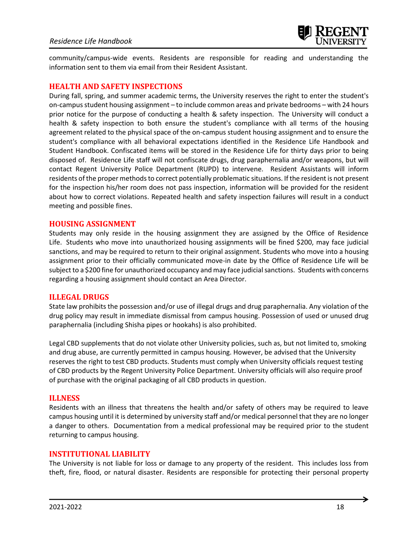

community/campus-wide events. Residents are responsible for reading and understanding the information sent to them via email from their Resident Assistant.

# **HEALTH AND SAFETY INSPECTIONS**

During fall, spring, and summer academic terms, the University reserves the right to enter the student's on-campus student housing assignment – to include common areas and private bedrooms – with 24 hours prior notice for the purpose of conducting a health & safety inspection. The University will conduct a health & safety inspection to both ensure the student's compliance with all terms of the housing agreement related to the physical space of the on-campus student housing assignment and to ensure the student's compliance with all behavioral expectations identified in the Residence Life Handbook and Student Handbook. Confiscated items will be stored in the Residence Life for thirty days prior to being disposed of. Residence Life staff will not confiscate drugs, drug paraphernalia and/or weapons, but will contact Regent University Police Department (RUPD) to intervene. Resident Assistants will inform residents ofthe proper methods to correct potentially problematic situations. If the resident is not present for the inspection his/her room does not pass inspection, information will be provided for the resident about how to correct violations. Repeated health and safety inspection failures will result in a conduct meeting and possible fines.

#### **HOUSING ASSIGNMENT**

Students may only reside in the housing assignment they are assigned by the Office of Residence Life. Students who move into unauthorized housing assignments will be fined \$200, may face judicial sanctions, and may be required to return to their original assignment. Students who move into a housing assignment prior to their officially communicated move-in date by the Office of Residence Life will be subject to a \$200 fine for unauthorized occupancy and may face judicial sanctions. Students with concerns regarding a housing assignment should contact an Area Director.

# **ILLEGAL DRUGS**

State law prohibits the possession and/or use of illegal drugs and drug paraphernalia. Any violation of the drug policy may result in immediate dismissal from campus housing. Possession of used or unused drug paraphernalia (including Shisha pipes or hookahs) is also prohibited.

Legal CBD supplements that do not violate other University policies, such as, but not limited to, smoking and drug abuse, are currently permitted in campus housing. However, be advised that the University reserves the right to test CBD products. Students must comply when University officials request testing of CBD products by the Regent University Police Department. University officials will also require proof of purchase with the original packaging of all CBD products in question.

#### **ILLNESS**

Residents with an illness that threatens the health and/or safety of others may be required to leave campus housing until it is determined by university staff and/or medical personnel that they are no longer a danger to others. Documentation from a medical professional may be required prior to the student returning to campus housing.

# **INSTITUTIONAL LIABILITY**

The University is not liable for loss or damage to any property of the resident. This includes loss from theft, fire, flood, or natural disaster. Residents are responsible for protecting their personal property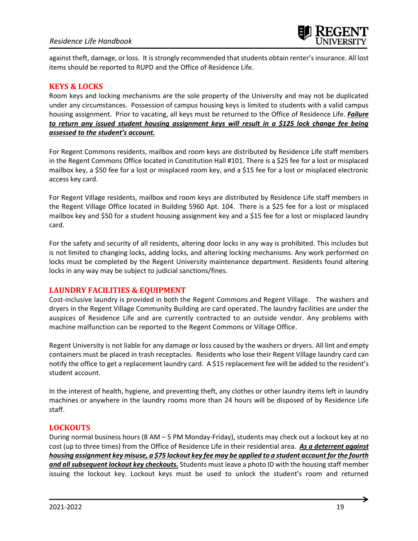against theft, damage, or loss. It is strongly recommended that students obtain renter's insurance. All lost items should be reported to RUPD and the Office of Residence Life.

# **KEYS & LOCKS**

Room keys and locking mechanisms are the sole property of the University and may not be duplicated under any circumstances. Possession of campus housing keys is limited to students with a valid campus housing assignment. Prior to vacating, all keys must be returned to the Office of Residence Life. *Failure to return any issued student housing assignment keys will result in a \$125 lock change fee being assessed to the student's account.*

For Regent Commons residents, mailbox and room keys are distributed by Residence Life staff members in the Regent Commons Office located in Constitution Hall #101. There is a \$25 fee for a lost or misplaced mailbox key, a \$50 fee for a lost or misplaced room key, and a \$15 fee for a lost or misplaced electronic access key card.

For Regent Village residents, mailbox and room keys are distributed by Residence Life staff members in the Regent Village Office located in Building 5960 Apt. 104. There is a \$25 fee for a lost or misplaced mailbox key and \$50 for a student housing assignment key and a \$15 fee for a lost or misplaced laundry card.

For the safety and security of all residents, altering door locks in any way is prohibited. This includes but is not limited to changing locks, adding locks, and altering locking mechanisms. Any work performed on locks must be completed by the Regent University maintenance department. Residents found altering locks in any way may be subject to judicial sanctions/fines.

# **LAUNDRY FACILITIES & EQUIPMENT**

Cost-inclusive laundry is provided in both the Regent Commons and Regent Village. The washers and dryers in the Regent Village Community Building are card operated. The laundry facilities are under the auspices of Residence Life and are currently contracted to an outside vendor. Any problems with machine malfunction can be reported to the Regent Commons or Village Office.

Regent University is not liable for any damage or loss caused by the washers or dryers. All lint and empty containers must be placed in trash receptacles. Residents who lose their Regent Village laundry card can notify the office to get a replacement laundry card. A \$15 replacement fee will be added to the resident's student account.

In the interest of health, hygiene, and preventing theft, any clothes or other laundry items left in laundry machines or anywhere in the laundry rooms more than 24 hours will be disposed of by Residence Life staff.

# **LOCKOUTS**

During normal business hours (8 AM – 5 PM Monday-Friday), students may check out a lockout key at no cost (up to three times) from the Office of Residence Life in their residential area. *As a deterrent against housing assignment key misuse, a \$75 lockout key fee may be applied to a student account for the fourth and all subsequent lockout key checkouts.* Students must leave a photo ID with the housing staff member issuing the lockout key. Lockout keys must be used to unlock the student's room and returned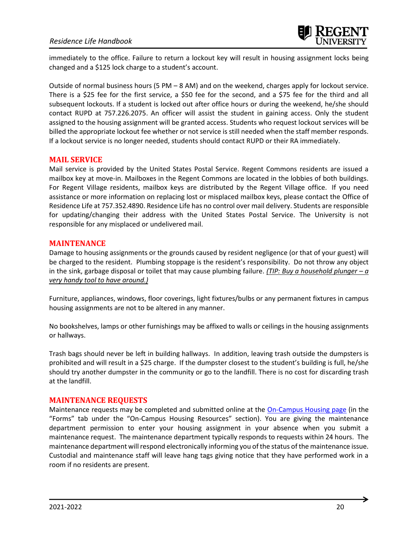immediately to the office. Failure to return a lockout key will result in housing assignment locks being changed and a \$125 lock charge to a student's account.

Outside of normal business hours (5 PM – 8 AM) and on the weekend, charges apply for lockout service. There is a \$25 fee for the first service, a \$50 fee for the second, and a \$75 fee for the third and all subsequent lockouts. If a student is locked out after office hours or during the weekend, he/she should contact RUPD at 757.226.2075. An officer will assist the student in gaining access. Only the student assigned to the housing assignment will be granted access. Students who request lockout services will be billed the appropriate lockout fee whether or not service is still needed when the staff member responds. If a lockout service is no longer needed, students should contact RUPD or their RA immediately.

# **MAIL SERVICE**

Mail service is provided by the United States Postal Service. Regent Commons residents are issued a mailbox key at move-in. Mailboxes in the Regent Commons are located in the lobbies of both buildings. For Regent Village residents, mailbox keys are distributed by the Regent Village office. If you need assistance or more information on replacing lost or misplaced mailbox keys, please contact the Office of Residence Life at 757.352.4890. Residence Life has no control over mail delivery. Students are responsible for updating/changing their address with the United States Postal Service. The University is not responsible for any misplaced or undelivered mail.

#### **MAINTENANCE**

Damage to housing assignments or the grounds caused by resident negligence (or that of your guest) will be charged to the resident. Plumbing stoppage is the resident's responsibility. Do not throw any object in the sink, garbage disposal or toilet that may cause plumbing failure. *(TIP: Buy a household plunger – a very handy tool to have around.)*

Furniture, appliances, windows, floor coverings, light fixtures/bulbs or any permanent fixtures in campus housing assignments are not to be altered in any manner.

No bookshelves, lamps or other furnishings may be affixed to walls or ceilings in the housing assignments or hallways.

Trash bags should never be left in building hallways. In addition, leaving trash outside the dumpsters is prohibited and will result in a \$25 charge. If the dumpster closest to the student's building is full, he/she should try another dumpster in the community or go to the landfill. There is no cost for discarding trash at the landfill.

# **MAINTENANCE REQUESTS**

Maintenance requests may be completed and submitted online at the [On-Campus Housing page](https://www.regent.edu/community-spiritual-life/student-life/#tab-on-campus-housing) (in the "Forms" tab under the "On-Campus Housing Resources" section). You are giving the maintenance department permission to enter your housing assignment in your absence when you submit a maintenance request. The maintenance department typically responds to requests within 24 hours. The maintenance department will respond electronically informing you of the status of the maintenance issue. Custodial and maintenance staff will leave hang tags giving notice that they have performed work in a room if no residents are present.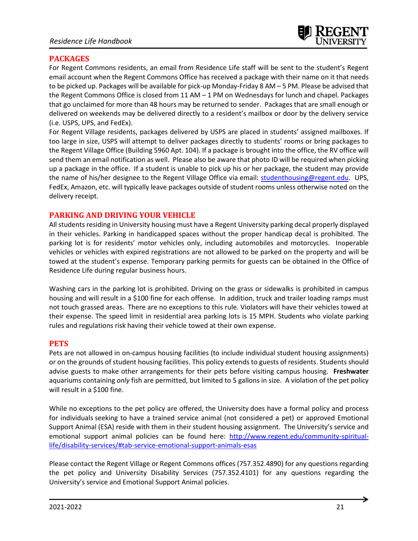# **PACKAGES**

For Regent Commons residents, an email from Residence Life staff will be sent to the student's Regent email account when the Regent Commons Office has received a package with their name on it that needs to be picked up. Packages will be available for pick-up Monday-Friday 8 AM – 5 PM. Please be advised that the Regent Commons Office is closed from 11 AM – 1 PM on Wednesdays for lunch and chapel. Packages that go unclaimed for more than 48 hours may be returned to sender. Packages that are small enough or delivered on weekends may be delivered directly to a resident's mailbox or door by the delivery service (i.e. USPS, UPS, and FedEx).

For Regent Village residents, packages delivered by USPS are placed in students' assigned mailboxes. If too large in size, USPS will attempt to deliver packages directly to students' rooms or bring packages to the Regent Village Office (Building 5960 Apt. 104). If a package is brought into the office, the RV office will send them an email notification as well. Please also be aware that photo ID will be required when picking up a package in the office. If a student is unable to pick up his or her package, the student may provide the name of his/her designee to the Regent Village Office via email: [studenthousing@regent.edu.](mailto:studenthousing@regent.edu) UPS, FedEx, Amazon, etc. will typically leave packages outside of student rooms unless otherwise noted on the delivery receipt.

# **PARKING AND DRIVING YOUR VEHICLE**

All students residing in University housing must have a Regent University parking decal properly displayed in their vehicles. Parking in handicapped spaces without the proper handicap decal is prohibited. The parking lot is for residents' motor vehicles only, including automobiles and motorcycles. Inoperable vehicles or vehicles with expired registrations are not allowed to be parked on the property and will be towed at the student's expense. Temporary parking permits for guests can be obtained in the Office of Residence Life during regular business hours.

Washing cars in the parking lot is prohibited. Driving on the grass or sidewalks is prohibited in campus housing and will result in a \$100 fine for each offense. In addition, truck and trailer loading ramps must not touch grassed areas. There are no exceptions to this rule. Violators will have their vehicles towed at their expense. The speed limit in residential area parking lots is 15 MPH. Students who violate parking rules and regulations risk having their vehicle towed at their own expense.

# **PETS**

Pets are not allowed in on-campus housing facilities (to include individual student housing assignments) or on the grounds of student housing facilities. This policy extends to guests of residents. Students should advise guests to make other arrangements for their pets before visiting campus housing. **Freshwater** aquariums containing *only* fish are permitted, but limited to 5 gallons in size. A violation of the pet policy will result in a \$100 fine.

While no exceptions to the pet policy are offered, the University does have a formal policy and process for individuals seeking to have a trained service animal (not considered a pet) or approved Emotional Support Animal (ESA) reside with them in their student housing assignment. The University's service and emotional support animal policies can be found here: [http://www.regent.edu/community-spiritual](http://www.regent.edu/community-spiritual-life/disability-services/#tab-service-emotional-support-animals-esas)[life/disability-services/#tab-service-emotional-support-animals-esas](http://www.regent.edu/community-spiritual-life/disability-services/#tab-service-emotional-support-animals-esas)

Please contact the Regent Village or Regent Commons offices (757.352.4890) for any questions regarding the pet policy and University Disability Services (757.352.4101) for any questions regarding the University's service and Emotional Support Animal policies.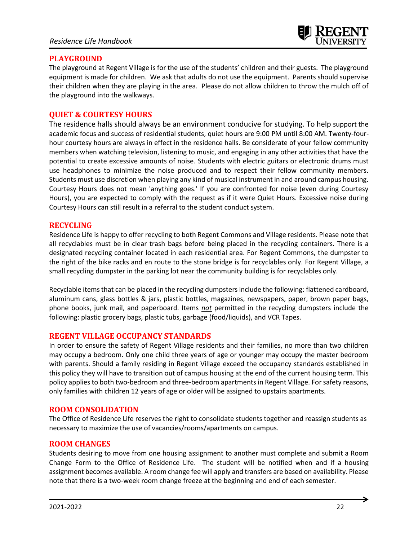

# **PLAYGROUND**

The playground at Regent Village is for the use of the students' children and their guests. The playground equipment is made for children. We ask that adults do not use the equipment. Parents should supervise their children when they are playing in the area. Please do not allow children to throw the mulch off of the playground into the walkways.

# **QUIET & COURTESY HOURS**

The residence halls should always be an environment conducive for studying. To help support the academic focus and success of residential students, quiet hours are 9:00 PM until 8:00 AM. Twenty-fourhour courtesy hours are always in effect in the residence halls. Be considerate of your fellow community members when watching television, listening to music, and engaging in any other activities that have the potential to create excessive amounts of noise. Students with electric guitars or electronic drums must use headphones to minimize the noise produced and to respect their fellow community members. Students must use discretion when playing any kind of musical instrument in and around campus housing. Courtesy Hours does not mean 'anything goes.' If you are confronted for noise (even during Courtesy Hours), you are expected to comply with the request as if it were Quiet Hours. Excessive noise during Courtesy Hours can still result in a referral to the student conduct system.

# **RECYCLING**

Residence Life is happy to offer recycling to both Regent Commons and Village residents. Please note that all recyclables must be in clear trash bags before being placed in the recycling containers. There is a designated recycling container located in each residential area. For Regent Commons, the dumpster to the right of the bike racks and en route to the stone bridge is for recyclables only. For Regent Village, a small recycling dumpster in the parking lot near the community building is for recyclables only.

Recyclable items that can be placed in the recycling dumpsters include the following: flattened cardboard, aluminum cans, glass bottles & jars, plastic bottles, magazines, newspapers, paper, brown paper bags, phone books, junk mail, and paperboard. Items *not* permitted in the recycling dumpsters include the following: plastic grocery bags, plastic tubs, garbage (food/liquids), and VCR Tapes.

# **REGENT VILLAGE OCCUPANCY STANDARDS**

In order to ensure the safety of Regent Village residents and their families, no more than two children may occupy a bedroom. Only one child three years of age or younger may occupy the master bedroom with parents. Should a family residing in Regent Village exceed the occupancy standards established in this policy they will have to transition out of campus housing at the end of the current housing term. This policy applies to both two-bedroom and three-bedroom apartments in Regent Village. For safety reasons, only families with children 12 years of age or older will be assigned to upstairs apartments.

# **ROOM CONSOLIDATION**

The Office of Residence Life reserves the right to consolidate students together and reassign students as necessary to maximize the use of vacancies/rooms/apartments on campus.

# **ROOM CHANGES**

Students desiring to move from one housing assignment to another must complete and submit a Room Change Form to the Office of Residence Life. The student will be notified when and if a housing assignment becomes available. A room change fee will apply and transfers are based on availability. Please note that there is a two-week room change freeze at the beginning and end of each semester.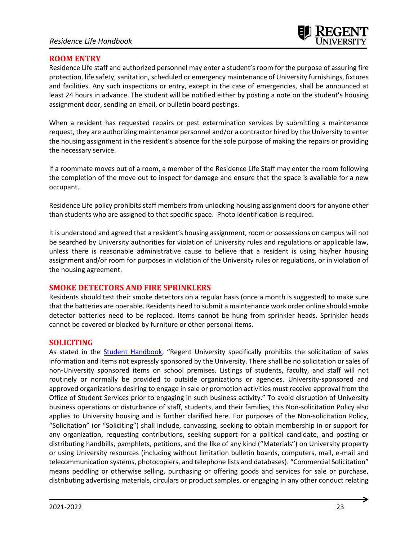# **ROOM ENTRY**

Residence Life staff and authorized personnel may enter a student's room for the purpose of assuring fire protection, life safety, sanitation, scheduled or emergency maintenance of University furnishings, fixtures and facilities. Any such inspections or entry, except in the case of emergencies, shall be announced at least 24 hours in advance. The student will be notified either by posting a note on the student's housing assignment door, sending an email, or bulletin board postings.

When a resident has requested repairs or pest extermination services by submitting a maintenance request, they are authorizing maintenance personnel and/or a contractor hired by the University to enter the housing assignment in the resident's absence for the sole purpose of making the repairs or providing the necessary service.

If a roommate moves out of a room, a member of the Residence Life Staff may enter the room following the completion of the move out to inspect for damage and ensure that the space is available for a new occupant.

Residence Life policy prohibits staff members from unlocking housing assignment doors for anyone other than students who are assigned to that specific space. Photo identification is required.

It is understood and agreed that a resident's housing assignment, room or possessions on campus will not be searched by University authorities for violation of University rules and regulations or applicable law, unless there is reasonable administrative cause to believe that a resident is using his/her housing assignment and/or room for purposes in violation of the University rules or regulations, or in violation of the housing agreement.

# **SMOKE DETECTORS AND FIRE SPRINKLERS**

Residents should test their smoke detectors on a regular basis (once a month is suggested) to make sure that the batteries are operable. Residents need to submit a maintenance work order online should smoke detector batteries need to be replaced. Items cannot be hung from sprinkler heads. Sprinkler heads cannot be covered or blocked by furniture or other personal items.

# **SOLICITING**

As stated in the [Student Handbook](http://www.regent.edu/studenthandbook), "Regent University specifically prohibits the solicitation of sales information and items not expressly sponsored by the University. There shall be no solicitation or sales of non-University sponsored items on school premises. Listings of students, faculty, and staff will not routinely or normally be provided to outside organizations or agencies. University-sponsored and approved organizations desiring to engage in sale or promotion activities must receive approval from the Office of Student Services prior to engaging in such business activity." To avoid disruption of University business operations or disturbance of staff, students, and their families, this Non-solicitation Policy also applies to University housing and is further clarified here. For purposes of the Non-solicitation Policy, "Solicitation" (or "Soliciting") shall include, canvassing, seeking to obtain membership in or support for any organization, requesting contributions, seeking support for a political candidate, and posting or distributing handbills, pamphlets, petitions, and the like of any kind ("Materials") on University property or using University resources (including without limitation bulletin boards, computers, mail, e-mail and telecommunication systems, photocopiers, and telephone lists and databases). "Commercial Solicitation" means peddling or otherwise selling, purchasing or offering goods and services for sale or purchase, distributing advertising materials, circulars or product samples, or engaging in any other conduct relating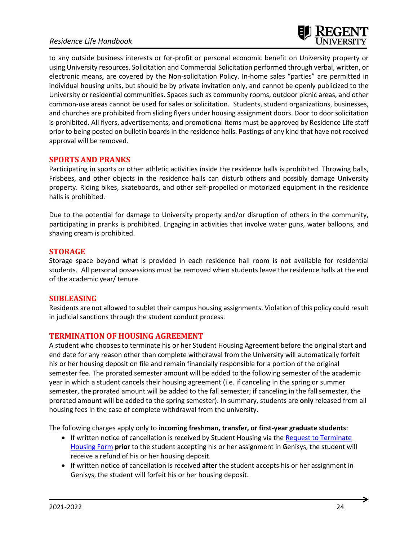# *Residence Life Handbook*



to any outside business interests or for-profit or personal economic benefit on University property or using University resources. Solicitation and Commercial Solicitation performed through verbal, written, or electronic means, are covered by the Non-solicitation Policy. In-home sales "parties" are permitted in individual housing units, but should be by private invitation only, and cannot be openly publicized to the University or residential communities. Spaces such as community rooms, outdoor picnic areas, and other common-use areas cannot be used for sales or solicitation. Students, student organizations, businesses, and churches are prohibited from sliding flyers under housing assignment doors. Door to door solicitation is prohibited. All flyers, advertisements, and promotional items must be approved by Residence Life staff prior to being posted on bulletin boards in the residence halls. Postings of any kind that have not received approval will be removed.

#### **SPORTS AND PRANKS**

Participating in sports or other athletic activities inside the residence halls is prohibited. Throwing balls, Frisbees, and other objects in the residence halls can disturb others and possibly damage University property. Riding bikes, skateboards, and other self-propelled or motorized equipment in the residence halls is prohibited.

Due to the potential for damage to University property and/or disruption of others in the community, participating in pranks is prohibited. Engaging in activities that involve water guns, water balloons, and shaving cream is prohibited.

#### **STORAGE**

Storage space beyond what is provided in each residence hall room is not available for residential students. All personal possessions must be removed when students leave the residence halls at the end of the academic year/ tenure.

#### **SUBLEASING**

Residents are not allowed to sublet their campus housing assignments. Violation of this policy could result in judicial sanctions through the student conduct process.

#### **TERMINATION OF HOUSING AGREEMENT**

A student who chooses to terminate his or her Student Housing Agreement before the original start and end date for any reason other than complete withdrawal from the University will automatically forfeit his or her housing deposit on file and remain financially responsible for a portion of the original semester fee. The prorated semester amount will be added to the following semester of the academic year in which a student cancels their housing agreement (i.e. if canceling in the spring or summer semester, the prorated amount will be added to the fall semester; if canceling in the fall semester, the prorated amount will be added to the spring semester). In summary, students are **only** released from all housing fees in the case of complete withdrawal from the university.

The following charges apply only to **incoming freshman, transfer, or first-year graduate students**:

- If written notice of cancellation is received by Student Housing via the [Request to Terminate](https://www.regent.edu/campus/housing/forms/terminate.cfm)  [Housing Form](https://www.regent.edu/campus/housing/forms/terminate.cfm) **prior** to the student accepting his or her assignment in Genisys, the student will receive a refund of his or her housing deposit.
- If written notice of cancellation is received **after** the student accepts his or her assignment in Genisys, the student will forfeit his or her housing deposit.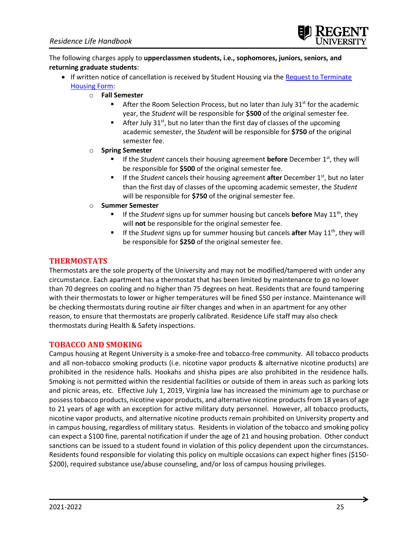

The following charges apply to **upperclassmen students, i.e., sophomores, juniors, seniors, and returning graduate students**:

- If written notice of cancellation is received by Student Housing via the [Request to Terminate](https://www.regent.edu/campus/housing/forms/terminate.cfm)  [Housing Form:](https://www.regent.edu/campus/housing/forms/terminate.cfm)
	- o **Fall Semester**
		- After the Room Selection Process, but no later than July  $31^{st}$  for the academic year, the *Student* will be responsible for **\$500** of the original semester fee.
		- After July  $31<sup>st</sup>$ , but no later than the first day of classes of the upcoming academic semester, the *Student* will be responsible for **\$750** of the original semester fee.
	- o **Spring Semester**
		- If the *Student* cancels their housing agreement **before** December 1<sup>st</sup>, they will be responsible for **\$500** of the original semester fee.
		- If the *Student* cancels their housing agreement **after** December 1<sup>st</sup>, but no later than the first day of classes of the upcoming academic semester, the *Student* will be responsible for **\$750** of the original semester fee.
	- o **Summer Semester**
		- If the *Student* signs up for summer housing but cancels **before** May 11<sup>th</sup>, they will **not** be responsible for the original semester fee.
		- If the *Student* signs up for summer housing but cancels **after** May 11<sup>th</sup>, they will be responsible for **\$250** of the original semester fee.

# **THERMOSTATS**

Thermostats are the sole property of the University and may not be modified/tampered with under any circumstance. Each apartment has a thermostat that has been limited by maintenance to go no lower than 70 degrees on cooling and no higher than 75 degrees on heat. Residents that are found tampering with their thermostats to lower or higher temperatures will be fined \$50 per instance. Maintenance will be checking thermostats during routine air filter changes and when in an apartment for any other reason, to ensure that thermostats are properly calibrated. Residence Life staff may also check thermostats during Health & Safety inspections.

# **TOBACCO AND SMOKING**

Campus housing at Regent University is a smoke-free and tobacco-free community.All tobacco products and all non-tobacco smoking products (i.e. nicotine vapor products & alternative nicotine products) are prohibited in the residence halls. Hookahs and shisha pipes are also prohibited in the residence halls. Smoking is not permitted within the residential facilities or outside of them in areas such as parking lots and picnic areas, etc. Effective July 1, 2019, Virginia law has increased the minimum age to purchase or possesstobacco products, nicotine vapor products, and alternative nicotine products from 18 years of age to 21 years of age with an exception for active military duty personnel. However, all tobacco products, nicotine vapor products, and alternative nicotine products remain prohibited on University property and in campus housing, regardless of military status. Residents in violation of the tobacco and smoking policy can expect a \$100 fine, parental notification if under the age of 21 and housing probation. Other conduct sanctions can be issued to a student found in violation of this policy dependent upon the circumstances. Residents found responsible for violating this policy on multiple occasions can expect higher fines (\$150- \$200), required substance use/abuse counseling, and/or loss of campus housing privileges.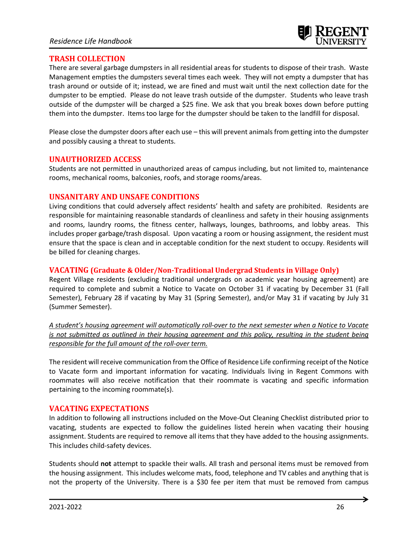# **TRASH COLLECTION**

There are several garbage dumpsters in all residential areas for students to dispose of their trash. Waste Management empties the dumpsters several times each week. They will not empty a dumpster that has trash around or outside of it; instead, we are fined and must wait until the next collection date for the dumpster to be emptied. Please do not leave trash outside of the dumpster. Students who leave trash outside of the dumpster will be charged a \$25 fine. We ask that you break boxes down before putting them into the dumpster. Items too large for the dumpster should be taken to the landfill for disposal.

Please close the dumpster doors after each use – this will prevent animals from getting into the dumpster and possibly causing a threat to students.

# **UNAUTHORIZED ACCESS**

Students are not permitted in unauthorized areas of campus including, but not limited to, maintenance rooms, mechanical rooms, balconies, roofs, and storage rooms/areas.

# **UNSANITARY AND UNSAFE CONDITIONS**

Living conditions that could adversely affect residents' health and safety are prohibited. Residents are responsible for maintaining reasonable standards of cleanliness and safety in their housing assignments and rooms, laundry rooms, the fitness center, hallways, lounges, bathrooms, and lobby areas. This includes proper garbage/trash disposal. Upon vacating a room or housing assignment, the resident must ensure that the space is clean and in acceptable condition for the next student to occupy. Residents will be billed for cleaning charges.

# **VACATING (Graduate & Older/Non-Traditional Undergrad Students in Village Only)**

Regent Village residents (excluding traditional undergrads on academic year housing agreement) are required to complete and submit a Notice to Vacate on October 31 if vacating by December 31 (Fall Semester), February 28 if vacating by May 31 (Spring Semester), and/or May 31 if vacating by July 31 (Summer Semester).

*A student's housing agreement will automatically roll-over to the next semester when a Notice to Vacate is not submitted as outlined in their housing agreement and this policy, resulting in the student being responsible for the full amount of the roll-over term.*

The resident will receive communication from the Office of Residence Life confirming receipt of the Notice to Vacate form and important information for vacating. Individuals living in Regent Commons with roommates will also receive notification that their roommate is vacating and specific information pertaining to the incoming roommate(s).

# **VACATING EXPECTATIONS**

In addition to following all instructions included on the Move-Out Cleaning Checklist distributed prior to vacating, students are expected to follow the guidelines listed herein when vacating their housing assignment. Students are required to remove all items that they have added to the housing assignments. This includes child-safety devices.

Students should **not** attempt to spackle their walls. All trash and personal items must be removed from the housing assignment. This includes welcome mats, food, telephone and TV cables and anything that is not the property of the University. There is a \$30 fee per item that must be removed from campus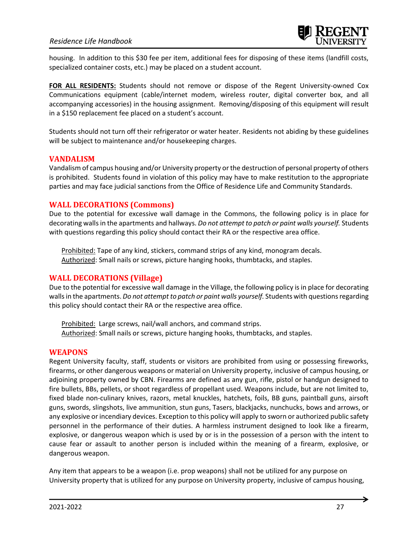# *Residence Life Handbook*

housing. In addition to this \$30 fee per item, additional fees for disposing of these items (landfill costs, specialized container costs, etc.) may be placed on a student account.

**FOR ALL RESIDENTS:** Students should not remove or dispose of the Regent University-owned Cox Communications equipment (cable/internet modem, wireless router, digital converter box, and all accompanying accessories) in the housing assignment. Removing/disposing of this equipment will result in a \$150 replacement fee placed on a student's account.

Students should not turn off their refrigerator or water heater. Residents not abiding by these guidelines will be subject to maintenance and/or housekeeping charges.

#### **VANDALISM**

Vandalism of campus housing and/or University property or the destruction of personal property of others is prohibited. Students found in violation of this policy may have to make restitution to the appropriate parties and may face judicial sanctions from the Office of Residence Life and Community Standards.

# **WALL DECORATIONS (Commons)**

Due to the potential for excessive wall damage in the Commons, the following policy is in place for decorating walls in the apartments and hallways. *Do not attempt to patch or paint walls yourself.* Students with questions regarding this policy should contact their RA or the respective area office.

Prohibited: Tape of any kind, stickers, command strips of any kind, monogram decals. Authorized: Small nails or screws, picture hanging hooks, thumbtacks, and staples.

# **WALL DECORATIONS (Village)**

Due to the potential for excessive wall damage in the Village, the following policy is in place for decorating walls in the apartments. *Do not attempt to patch or paint walls yourself.* Students with questions regarding this policy should contact their RA or the respective area office.

Prohibited: Large screws, nail/wall anchors, and command strips. Authorized: Small nails or screws, picture hanging hooks, thumbtacks, and staples.

#### **WEAPONS**

Regent University faculty, staff, students or visitors are prohibited from using or possessing fireworks, firearms, or other dangerous weapons or material on University property, inclusive of campus housing, or adjoining property owned by CBN. Firearms are defined as any gun, rifle, pistol or handgun designed to fire bullets, BBs, pellets, or shoot regardless of propellant used. Weapons include, but are not limited to, fixed blade non-culinary knives, razors, metal knuckles, hatchets, foils, BB guns, paintball guns, airsoft guns, swords, slingshots, live ammunition, stun guns, Tasers, blackjacks, nunchucks, bows and arrows, or any explosive or incendiary devices. Exception to this policy will apply to sworn or authorized public safety personnel in the performance of their duties. A harmless instrument designed to look like a firearm, explosive, or dangerous weapon which is used by or is in the possession of a person with the intent to cause fear or assault to another person is included within the meaning of a firearm, explosive, or dangerous weapon.

Any item that appears to be a weapon (i.e. prop weapons) shall not be utilized for any purpose on University property that is utilized for any purpose on University property, inclusive of campus housing,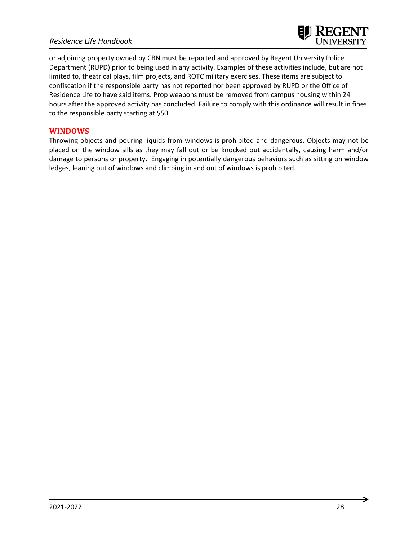# *Residence Life Handbook*



or adjoining property owned by CBN must be reported and approved by Regent University Police Department (RUPD) prior to being used in any activity. Examples of these activities include, but are not limited to, theatrical plays, film projects, and ROTC military exercises. These items are subject to confiscation if the responsible party has not reported nor been approved by RUPD or the Office of Residence Life to have said items. Prop weapons must be removed from campus housing within 24 hours after the approved activity has concluded. Failure to comply with this ordinance will result in fines to the responsible party starting at \$50.

#### **WINDOWS**

Throwing objects and pouring liquids from windows is prohibited and dangerous. Objects may not be placed on the window sills as they may fall out or be knocked out accidentally, causing harm and/or damage to persons or property. Engaging in potentially dangerous behaviors such as sitting on window ledges, leaning out of windows and climbing in and out of windows is prohibited.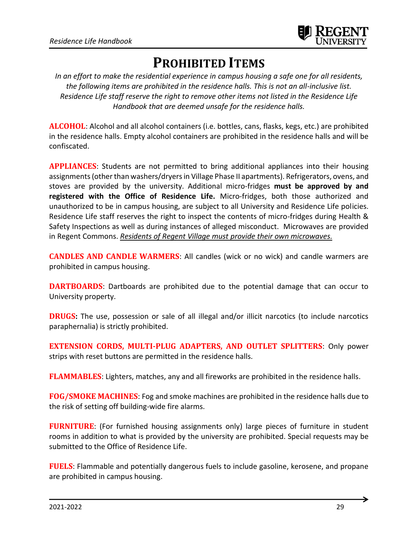

# **PROHIBITED ITEMS**

*In an effort to make the residential experience in campus housing a safe one for all residents, the following items are prohibited in the residence halls. This is not an all-inclusive list. Residence Life staff reserve the right to remove other items not listed in the Residence Life Handbook that are deemed unsafe for the residence halls.*

**ALCOHOL**: Alcohol and all alcohol containers (i.e. bottles, cans, flasks, kegs, etc.) are prohibited in the residence halls. Empty alcohol containers are prohibited in the residence halls and will be confiscated.

**APPLIANCES**: Students are not permitted to bring additional appliances into their housing assignments(other than washers/dryers in Village Phase II apartments). Refrigerators, ovens, and stoves are provided by the university. Additional micro-fridges **must be approved by and registered with the Office of Residence Life.** Micro-fridges, both those authorized and unauthorized to be in campus housing, are subject to all University and Residence Life policies. Residence Life staff reserves the right to inspect the contents of micro-fridges during Health & Safety Inspections as well as during instances of alleged misconduct. Microwaves are provided in Regent Commons. *Residents of Regent Village must provide their own microwaves.*

**CANDLES AND CANDLE WARMERS**: All candles (wick or no wick) and candle warmers are prohibited in campus housing.

**DARTBOARDS**: Dartboards are prohibited due to the potential damage that can occur to University property.

**DRUGS:** The use, possession or sale of all illegal and/or illicit narcotics (to include narcotics paraphernalia) is strictly prohibited.

**EXTENSION CORDS, MULTI-PLUG ADAPTERS, AND OUTLET SPLITTERS**: Only power strips with reset buttons are permitted in the residence halls.

**FLAMMABLES**: Lighters, matches, any and all fireworks are prohibited in the residence halls.

**FOG/SMOKE MACHINES**: Fog and smoke machines are prohibited in the residence halls due to the risk of setting off building-wide fire alarms.

**FURNITURE**: (For furnished housing assignments only) large pieces of furniture in student rooms in addition to what is provided by the university are prohibited. Special requests may be submitted to the Office of Residence Life.

**FUELS**: Flammable and potentially dangerous fuels to include gasoline, kerosene, and propane are prohibited in campus housing.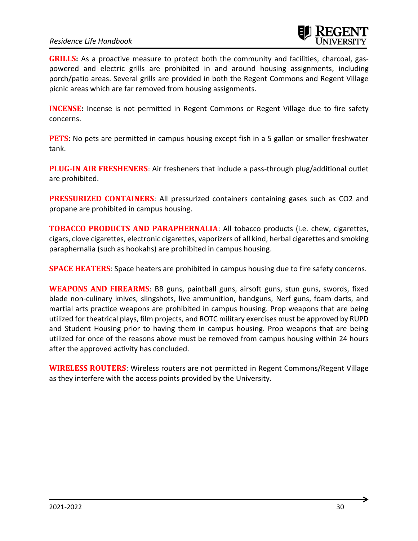# *Residence Life Handbook*



**GRILLS:** As a proactive measure to protect both the community and facilities, charcoal, gaspowered and electric grills are prohibited in and around housing assignments, including porch/patio areas. Several grills are provided in both the Regent Commons and Regent Village picnic areas which are far removed from housing assignments.

**INCENSE**: Incense is not permitted in Regent Commons or Regent Village due to fire safety concerns.

**PETS**: No pets are permitted in campus housing except fish in a 5 gallon or smaller freshwater tank.

**PLUG-IN AIR FRESHENERS**: Air fresheners that include a pass-through plug/additional outlet are prohibited.

**PRESSURIZED CONTAINERS**: All pressurized containers containing gases such as CO2 and propane are prohibited in campus housing.

**TOBACCO PRODUCTS AND PARAPHERNALIA**: All tobacco products (i.e. chew, cigarettes, cigars, clove cigarettes, electronic cigarettes, vaporizers of all kind, herbal cigarettes and smoking paraphernalia (such as hookahs) are prohibited in campus housing.

**SPACE HEATERS**: Space heaters are prohibited in campus housing due to fire safety concerns.

**WEAPONS AND FIREARMS**: BB guns, paintball guns, airsoft guns, stun guns, swords, fixed blade non-culinary knives, slingshots, live ammunition, handguns, Nerf guns, foam darts, and martial arts practice weapons are prohibited in campus housing. Prop weapons that are being utilized for theatrical plays, film projects, and ROTC military exercises must be approved by RUPD and Student Housing prior to having them in campus housing. Prop weapons that are being utilized for once of the reasons above must be removed from campus housing within 24 hours after the approved activity has concluded.

**WIRELESS ROUTERS**: Wireless routers are not permitted in Regent Commons/Regent Village as they interfere with the access points provided by the University.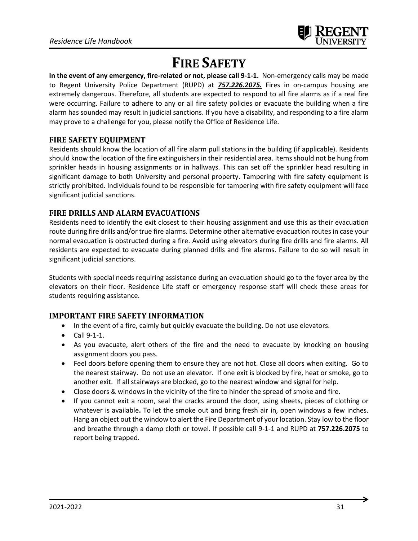# **FIRE SAFETY**

**In the event of any emergency, fire-related or not, please call 9-1-1.** Non-emergency calls may be made to Regent University Police Department (RUPD) at *757.226.2075.* Fires in on-campus housing are extremely dangerous. Therefore, all students are expected to respond to all fire alarms as if a real fire were occurring. Failure to adhere to any or all fire safety policies or evacuate the building when a fire alarm has sounded may result in judicial sanctions. If you have a disability, and responding to a fire alarm may prove to a challenge for you, please notify the Office of Residence Life.

# **FIRE SAFETY EQUIPMENT**

Residents should know the location of all fire alarm pull stations in the building (if applicable). Residents should know the location of the fire extinguishers in their residential area. Items should not be hung from sprinkler heads in housing assignments or in hallways. This can set off the sprinkler head resulting in significant damage to both University and personal property. Tampering with fire safety equipment is strictly prohibited. Individuals found to be responsible for tampering with fire safety equipment will face significant judicial sanctions.

# **FIRE DRILLS AND ALARM EVACUATIONS**

Residents need to identify the exit closest to their housing assignment and use this as their evacuation route during fire drills and/or true fire alarms. Determine other alternative evacuation routes in case your normal evacuation is obstructed during a fire. Avoid using elevators during fire drills and fire alarms. All residents are expected to evacuate during planned drills and fire alarms. Failure to do so will result in significant judicial sanctions.

Students with special needs requiring assistance during an evacuation should go to the foyer area by the elevators on their floor. Residence Life staff or emergency response staff will check these areas for students requiring assistance.

# **IMPORTANT FIRE SAFETY INFORMATION**

- In the event of a fire, calmly but quickly evacuate the building. Do not use elevators.
- Call 9-1-1.
- As you evacuate, alert others of the fire and the need to evacuate by knocking on housing assignment doors you pass.
- Feel doors before opening them to ensure they are not hot. Close all doors when exiting. Go to the nearest stairway. Do not use an elevator. If one exit is blocked by fire, heat or smoke, go to another exit. If all stairways are blocked, go to the nearest window and signal for help.
- Close doors & windows in the vicinity of the fire to hinder the spread of smoke and fire.
- If you cannot exit a room, seal the cracks around the door, using sheets, pieces of clothing or whatever is available**.** To let the smoke out and bring fresh air in, open windows a few inches. Hang an object out the window to alert the Fire Department of your location. Stay low to the floor and breathe through a damp cloth or towel. If possible call 9-1-1 and RUPD at **757.226.2075** to report being trapped.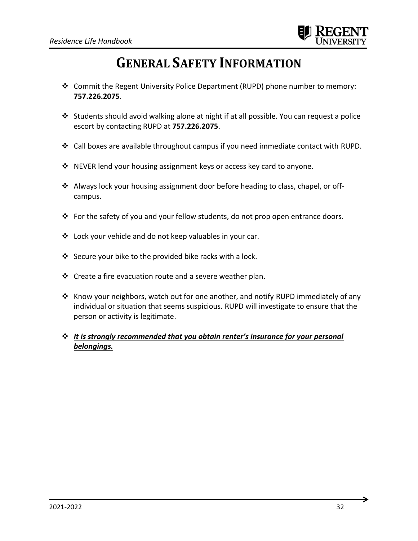# **GENERAL SAFETY INFORMATION**

- ❖ Commit the Regent University Police Department (RUPD) phone number to memory: **757.226.2075**.
- ❖ Students should avoid walking alone at night if at all possible. You can request a police escort by contacting RUPD at **757.226.2075**.
- ❖ Call boxes are available throughout campus if you need immediate contact with RUPD.
- ❖ NEVER lend your housing assignment keys or access key card to anyone.
- ❖ Always lock your housing assignment door before heading to class, chapel, or offcampus.
- ❖ For the safety of you and your fellow students, do not prop open entrance doors.
- ❖ Lock your vehicle and do not keep valuables in your car.
- ❖ Secure your bike to the provided bike racks with a lock.
- $\div$  Create a fire evacuation route and a severe weather plan.
- ❖ Know your neighbors, watch out for one another, and notify RUPD immediately of any individual or situation that seems suspicious. RUPD will investigate to ensure that the person or activity is legitimate.
- ❖ *It is strongly recommended that you obtain renter's insurance for your personal belongings.*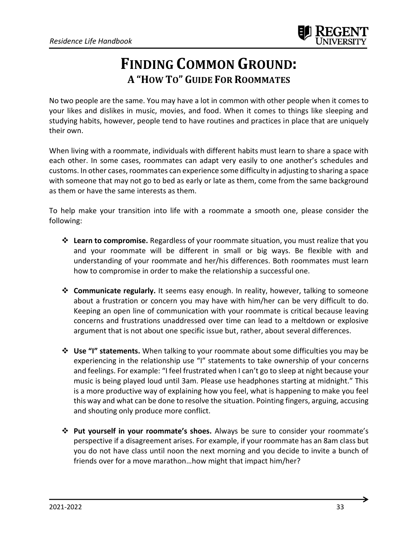

# **FINDING COMMON GROUND: A "HOW TO" GUIDE FOR ROOMMATES**

No two people are the same. You may have a lot in common with other people when it comes to your likes and dislikes in music, movies, and food. When it comes to things like sleeping and studying habits, however, people tend to have routines and practices in place that are uniquely their own.

When living with a roommate, individuals with different habits must learn to share a space with each other. In some cases, roommates can adapt very easily to one another's schedules and customs. In other cases, roommates can experience some difficulty in adjusting to sharing a space with someone that may not go to bed as early or late as them, come from the same background as them or have the same interests as them.

To help make your transition into life with a roommate a smooth one, please consider the following:

- ❖ **Learn to compromise.** Regardless of your roommate situation, you must realize that you and your roommate will be different in small or big ways. Be flexible with and understanding of your roommate and her/his differences. Both roommates must learn how to compromise in order to make the relationship a successful one.
- ❖ **Communicate regularly.** It seems easy enough. In reality, however, talking to someone about a frustration or concern you may have with him/her can be very difficult to do. Keeping an open line of communication with your roommate is critical because leaving concerns and frustrations unaddressed over time can lead to a meltdown or explosive argument that is not about one specific issue but, rather, about several differences.
- ❖ **Use "I" statements.** When talking to your roommate about some difficulties you may be experiencing in the relationship use "I" statements to take ownership of your concerns and feelings. For example: "I feel frustrated when I can't go to sleep at night because your music is being played loud until 3am. Please use headphones starting at midnight." This is a more productive way of explaining how you feel, what is happening to make you feel this way and what can be done to resolve the situation. Pointing fingers, arguing, accusing and shouting only produce more conflict.
- ❖ **Put yourself in your roommate's shoes.** Always be sure to consider your roommate's perspective if a disagreement arises. For example, if your roommate has an 8am class but you do not have class until noon the next morning and you decide to invite a bunch of friends over for a move marathon…how might that impact him/her?